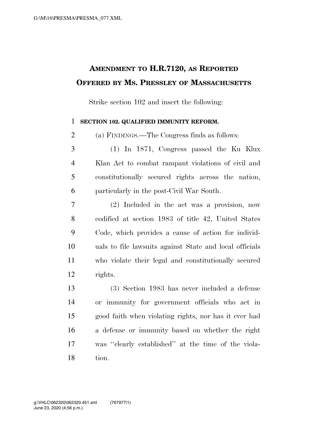## **AMENDMENT TO H.R.7120, AS REPORTED OFFERED BY MS. PRESSLEY OF MASSACHUSETTS**

Strike section 102 and insert the following:

## **SECTION 102. QUALIFIED IMMUNITY REFORM.**

(a) FINDINGS.—The Congress finds as follows:

 (1) In 1871, Congress passed the Ku Klux Klan Act to combat rampant violations of civil and constitutionally secured rights across the nation, particularly in the post-Civil War South.

 (2) Included in the act was a provision, now codified at section 1983 of title 42, United States Code, which provides a cause of action for individ- uals to file lawsuits against State and local officials who violate their legal and constitutionally secured rights.

 (3) Section 1983 has never included a defense or immunity for government officials who act in good faith when violating rights, nor has it ever had a defense or immunity based on whether the right was ''clearly established'' at the time of the viola-tion.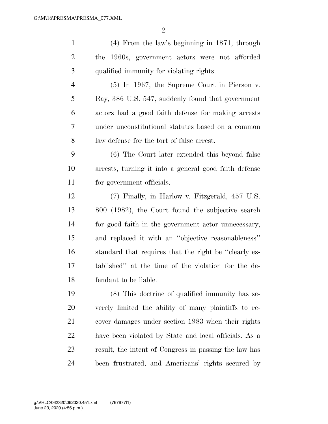| $\mathbf{1}$   | $(4)$ From the law's beginning in 1871, through       |
|----------------|-------------------------------------------------------|
| $\overline{2}$ | the 1960s, government actors were not afforded        |
| 3              | qualified immunity for violating rights.              |
| $\overline{4}$ | $(5)$ In 1967, the Supreme Court in Pierson v.        |
| 5              | Ray, 386 U.S. 547, suddenly found that government     |
| 6              | actors had a good faith defense for making arrests    |
| 7              | under unconstitutional statutes based on a common     |
| 8              | law defense for the tort of false arrest.             |
| 9              | (6) The Court later extended this beyond false        |
| 10             | arrests, turning it into a general good faith defense |
| 11             | for government officials.                             |
| 12             | (7) Finally, in Harlow v. Fitzgerald, 457 U.S.        |
| 13             | 800 (1982), the Court found the subjective search     |
| 14             | for good faith in the government actor unnecessary,   |
| 15             | and replaced it with an "objective reasonableness"    |
| 16             | standard that requires that the right be "clearly es- |
| 17             | tablished" at the time of the violation for the de-   |
| 18             | fendant to be liable.                                 |
| 19             | (8) This doctrine of qualified immunity has se-       |
| 20             | verely limited the ability of many plaintiffs to re-  |
| 21             | cover damages under section 1983 when their rights    |
| 22             | have been violated by State and local officials. As a |
| 23             | result, the intent of Congress in passing the law has |
| 24             | been frustrated, and Americans' rights secured by     |